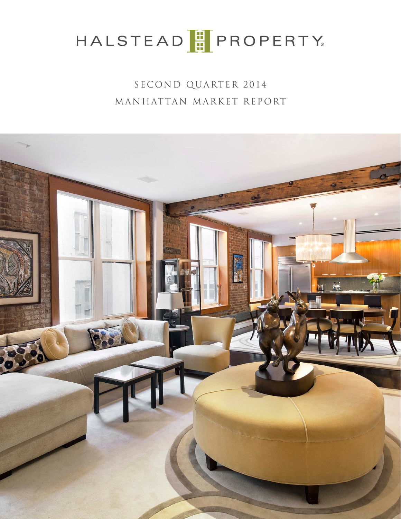SECOND QUARTER 2014 MANHATTAN MARKET REPORT

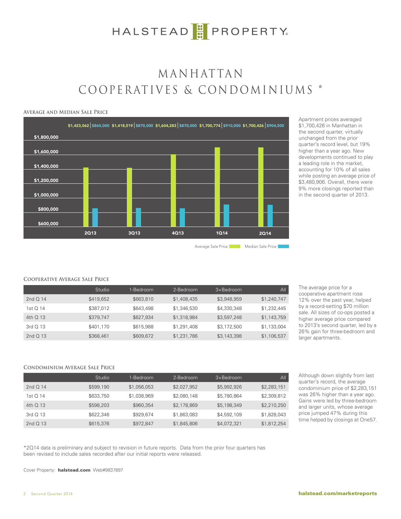## M ANHATTAN COOPERATIVES & CONDOMINIUMS \*

#### **Average and Median Sale Price**



Apartment prices averaged \$1,700,426 in Manhattan in the second quarter, virtually unchanged from the prior quarter's record level, but 19% higher than a year ago. New developments continued to play a leading role in the market, accounting for 10% of all sales while posting an average price of \$3,480,906. Overall, there were 9% more closings reported than in the second quarter of 2013.

Average Sale Price Median Sale Price

#### **Cooperative Average Sale Price**

|            | Studio    | 1-Bedroom | 2-Bedroom   | $3 + \text{Bedroom}$ | All         |
|------------|-----------|-----------|-------------|----------------------|-------------|
| 2nd $Q$ 14 | \$419,652 | \$663,810 | \$1,408,435 | \$3,948,959          | \$1,240,747 |
| 1st $O$ 14 | \$387,012 | \$643,498 | \$1,346,530 | \$4,330,348          | \$1,232,445 |
| 4th Q 13   | \$379,747 | \$627,934 | \$1,318,984 | \$3,597,248          | \$1,143,759 |
| $3rd$ O 13 | \$401,170 | \$615,988 | \$1,291,408 | \$3,172,500          | \$1,133,004 |
| 2nd $Q$ 13 | \$368,461 | \$609,672 | \$1,231,786 | \$3,143,398          | \$1,106,537 |

The average price for a cooperative apartment rose 12% over the past year, helped by a record-setting \$70 million sale. All sizes of co-ops posted a higher average price compared to 2013's second quarter, led by a 26% gain for three-bedroom and larger apartments.

### **Condominium Average Sale Price**

|            | Studio    | 1-Bedroom   | 2-Bedroom   | $3 +$ Bedroom | Al <sub>l</sub> |
|------------|-----------|-------------|-------------|---------------|-----------------|
| 2nd $O$ 14 | \$599,190 | \$1,056,053 | \$2,027,952 | \$5,992,926   | \$2,283,151     |
| 1st Q 14   | \$633,750 | \$1,038,969 | \$2,080,148 | \$5,780,864   | \$2,309,812     |
| 4th Q 13   | \$598,203 | \$960,354   | \$2,178,869 | \$5,198,349   | \$2,210,250     |
| $3rd$ O 13 | \$622,346 | \$929,674   | \$1,863,083 | \$4,592,109   | \$1,828,043     |
| 2nd $Q$ 13 | \$615,376 | \$972,847   | \$1,845,806 | \$4,072,321   | \$1,812,254     |

Although down slightly from last quarter's record, the average condominium price of \$2,283,151 was 26% higher than a year ago. Gains were led by three-bedroom and larger units, whose average price jumped 47% during this time helped by closings at One57.

\*2Q14 data is preliminary and subject to revision in future reports. Data from the prior four quarters has been revised to include sales recorded after our initial reports were released.

Cover Property: halstead.com Web#9837897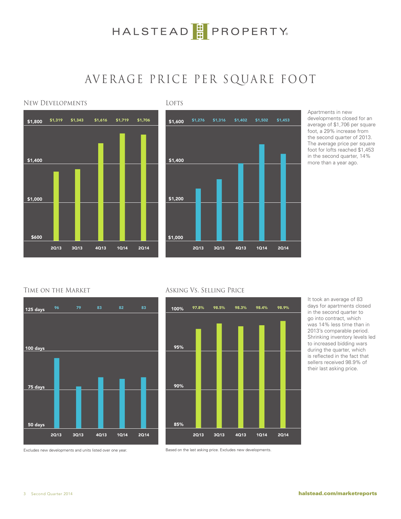## AVERAGE PRICE PER SQUARE FOOT





Apartments in new developments closed for an average of \$1,706 per square foot, a 29% increase from the second quarter of 2013. The average price per square foot for lofts reached \$1,453 in the second quarter, 14% more than a year ago.

### Time on the Market







It took an average of 83 days for apartments closed in the second quarter to go into contract, which was 14% less time than in 2013's comparable period. Shrinking inventory levels led to increased bidding wars during the quarter, which is reflected in the fact that sellers received 98.9% of their last asking price.

Excludes new developments and units listed over one year.

Based on the last asking price. Excludes new developments.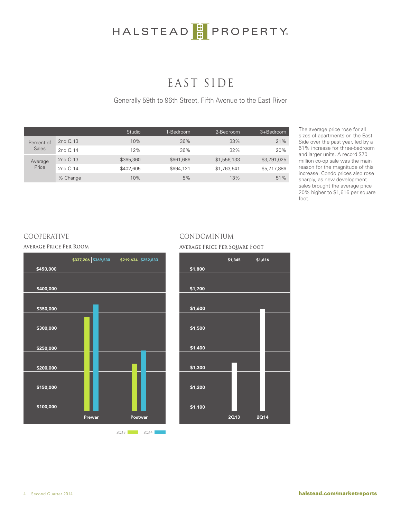## EAST SIDE

Generally 59th to 96th Street, Fifth Avenue to the East River

|                            |            | Studio    | 1-Bedroom | 2-Bedroom   | 3+Bedroom   |
|----------------------------|------------|-----------|-----------|-------------|-------------|
| Percent of<br><b>Sales</b> | 2nd $Q$ 13 | 10%       | 36%       | 33%         | 21%         |
|                            | 2nd $Q$ 14 | 12%       | 36%       | 32%         | 20%         |
| Average<br>Price           | 2nd $Q$ 13 | \$365,360 | \$661,686 | \$1,556,133 | \$3,791,025 |
|                            | 2nd $Q$ 14 | \$402,605 | \$694,121 | \$1,763,541 | \$5,717,886 |
|                            | % Change   | 10%       | 5%        | 13%         | 51%         |

The average price rose for all sizes of apartments on the East Side over the past year, led by a 51% increase for three-bedroom and larger units. A record \$70 million co-op sale was the main reason for the magnitude of this increase. Condo prices also rose sharply, as new development sales brought the average price 20% higher to \$1,616 per square foot.



2Q13 2Q14

### COOPERATIVE CONDOMINIUM

### **Average Price Per Room Average Price Per Square Foot**



4 Second Quarter 2014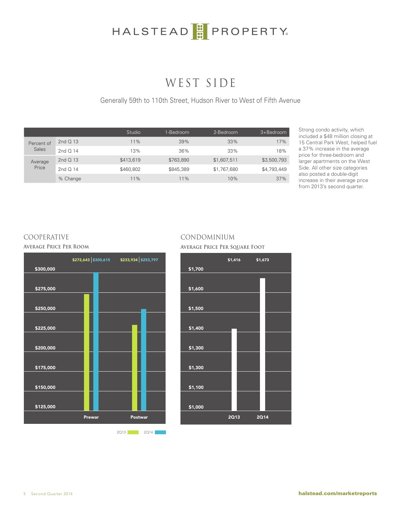## WEST SIDE

Generally 59th to 110th Street, Hudson River to West of Fifth Avenue

|                            |            | Studio    | 1-Bedroom | 2-Bedroom   | 3+Bedroom   |
|----------------------------|------------|-----------|-----------|-------------|-------------|
| Percent of<br><b>Sales</b> | 2nd $Q$ 13 | 11%       | 39%       | 33%         | 17%         |
|                            | 2nd $Q$ 14 | 13%       | 36%       | 33%         | 18%         |
| Average<br>Price           | 2nd Q 13   | \$413,619 | \$763,890 | \$1,607,511 | \$3,500,793 |
|                            | 2nd $Q$ 14 | \$460,802 | \$845,389 | \$1,767,680 | \$4,793,449 |
|                            | % Change   | 11%       | 11%       | 10%         | 37%         |

Strong condo activity, which included a \$48 million closing at 15 Central Park West, helped fuel a 37% increase in the average price for three-bedroom and larger apartments on the West Side. All other size categories also posted a double-digit increase in their average price from 2013's second quarter.



2Q13 2Q14

### COOPERATIVE CONDOMINIUM

**Average Price Per Room Average Price Per Square Foot**



5 Second Quarter 2014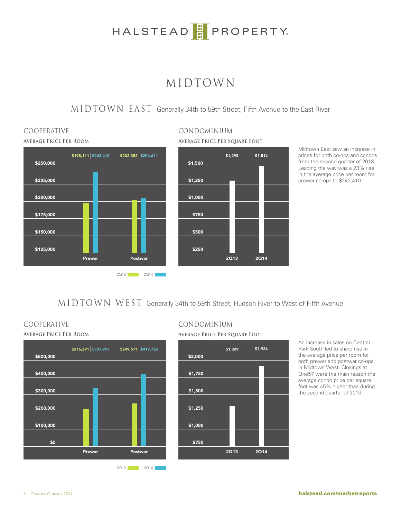## MIDTOWN

MIDTOWN EAST Generally 34th to 59th Street, Fifth Avenue to the East River



# COOPERATIVE CONDOMINIUM



Midtown East saw an increase in prices for both co-ops and condos from the second quarter of 2013. Leading the way was a 23% rise in the average price per room for prewar co-ops to \$243,410.

MIDTOWN WEST Generally 34th to 59th Street, Hudson River to West of Fifth Avenue





## COOPERATIVE CONDOMINIUM

**Average Price Per Room Average Price Per Square Foot**



An increase in sales on Central Park South led to sharp rise in the average price per room for both prewar and postwar co-ops in Midtown West. Closings at One57 were the main reason the average condo price per square foot was 45% higher than during the second quarter of 2013.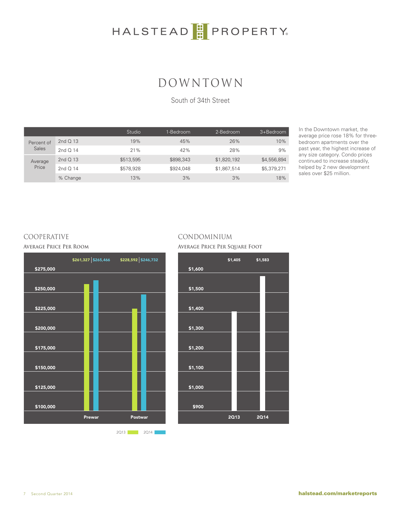## DOWNTOWN

South of 34th Street

|                            |            | Studio    | 1-Bedroom | 2-Bedroom   | 3+Bedroom   |
|----------------------------|------------|-----------|-----------|-------------|-------------|
| Percent of<br><b>Sales</b> | 2nd Q 13   | 19%       | 45%       | 26%         | 10%         |
|                            | 2nd $Q$ 14 | 21%       | 42%       | 28%         | 9%          |
| Average<br>Price           | 2nd Q 13   | \$513,595 | \$898,343 | \$1,820,192 | \$4,556,894 |
|                            | 2nd $Q$ 14 | \$578,928 | \$924,048 | \$1,867,514 | \$5,379,271 |
|                            | % Change   | 13%       | 3%        | 3%          | 18%         |

In the Downtown market, the average price rose 18% for threebedroom apartments over the past year, the highest increase of any size category. Condo prices continued to increase steadily, helped by 2 new development sales over \$25 million.



2Q13 2Q14

### COOPERATIVE CONDOMINIUM

#### **Average Price Per Room Average Price Per Square Foot**